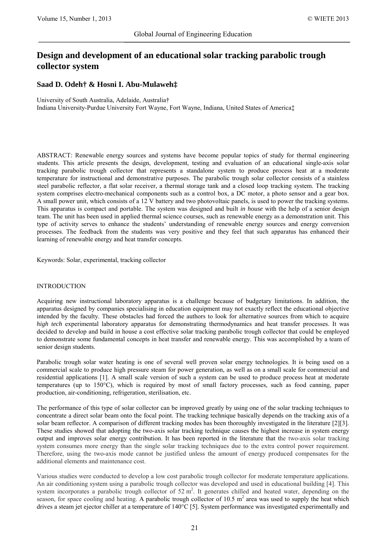# **Design and development of an educational solar tracking parabolic trough collector system**

**Saad D. Odeh† & Hosni I. Abu-Mulaweh‡**

University of South Australia, Adelaide, Australia†

Indiana University-Purdue University Fort Wayne, Fort Wayne, Indiana, United States of America‡

ABSTRACT: Renewable energy sources and systems have become popular topics of study for thermal engineering students. This article presents the design, development, testing and evaluation of an educational single-axis solar tracking parabolic trough collector that represents a standalone system to produce process heat at a moderate temperature for instructional and demonstrative purposes. The parabolic trough solar collector consists of a stainless steel parabolic reflector, a flat solar receiver, a thermal storage tank and a closed loop tracking system. The tracking system comprises electro-mechanical components such as a control box, a DC motor, a photo sensor and a gear box. A small power unit, which consists of a 12 V battery and two photovoltaic panels, is used to power the tracking systems. This apparatus is compact and portable. The system was designed and built *in house* with the help of a senior design team. The unit has been used in applied thermal science courses, such as renewable energy as a demonstration unit. This type of activity serves to enhance the students' understanding of renewable energy sources and energy conversion processes. The feedback from the students was very positive and they feel that such apparatus has enhanced their learning of renewable energy and heat transfer concepts.

Keywords: Solar, experimental, tracking collector

## INTRODUCTION

Acquiring new instructional laboratory apparatus is a challenge because of budgetary limitations. In addition, the apparatus designed by companies specialising in education equipment may not exactly reflect the educational objective intended by the faculty. These obstacles had forced the authors to look for alternative sources from which to acquire *high tech* experimental laboratory apparatus for demonstrating thermodynamics and heat transfer processes. It was decided to develop and build in house a cost effective solar tracking parabolic trough collector that could be employed to demonstrate some fundamental concepts in heat transfer and renewable energy. This was accomplished by a team of senior design students.

Parabolic trough solar water heating is one of several well proven solar energy technologies. It is being used on a commercial scale to produce high pressure steam for power generation, as well as on a small scale for commercial and residential applications [1]. A small scale version of such a system can be used to produce process heat at moderate temperatures (up to 150°C), which is required by most of small factory processes, such as food canning, paper production, air-conditioning, refrigeration, sterilisation, etc.

The performance of this type of solar collector can be improved greatly by using one of the solar tracking techniques to concentrate a direct solar beam onto the focal point. The tracking technique basically depends on the tracking axis of a solar beam reflector. A comparison of different tracking modes has been thoroughly investigated in the literature [2][3]. These studies showed that adopting the two-axis solar tracking technique causes the highest increase in system energy output and improves solar energy contribution. It has been reported in the literature that the two-axis solar tracking system consumes more energy than the single solar tracking techniques due to the extra control power requirement. Therefore, using the two-axis mode cannot be justified unless the amount of energy produced compensates for the additional elements and maintenance cost.

Various studies were conducted to develop a low cost parabolic trough collector for moderate temperature applications. An air conditioning system using a parabolic trough collector was developed and used in educational building [4]. This system incorporates a parabolic trough collector of  $52 \text{ m}^2$ . It generates chilled and heated water, depending on the season, for space cooling and heating. A parabolic trough collector of 10.5  $m<sup>2</sup>$  area was used to supply the heat which drives a steam jet ejector chiller at a temperature of 140°C [5]. System performance was investigated experimentally and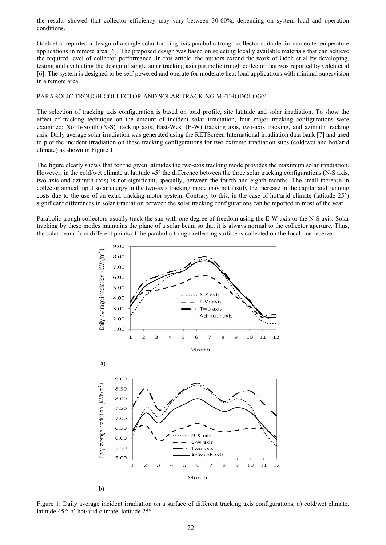the results showed that collector efficiency may vary between 30-60%, depending on system load and operation conditions.

Odeh et al reported a design of a single solar tracking axis parabolic trough collector suitable for moderate temperature applications in remote area [6]. The proposed design was based on selecting locally available materials that can achieve the required level of collector performance. In this article, the authors extend the work of Odeh et al by developing, testing and evaluating the design of single solar tracking axis parabolic trough collector that was reported by Odeh et al [6]. The system is designed to be self-powered and operate for moderate heat load applications with minimal supervision in a remote area.

# PARABOLIC TROUGH COLLECTOR AND SOLAR TRACKING METHODOLOGY

The selection of tracking axis configuration is based on load profile, site latitude and solar irradiation. To show the effect of tracking technique on the amount of incident solar irradiation, four major tracking configurations were examined: North-South (N-S) tracking axis, East-West (E-W) tracking axis, two-axis tracking, and azimuth tracking axis. Daily average solar irradiation was generated using the RETScreen International irradiation data bank [7] and used to plot the incident irradiation on these tracking configurations for two extreme irradiation sites (cold/wet and hot/arid climate) as shown in Figure 1.

The figure clearly shows that for the given latitudes the two-axis tracking mode provides the maximum solar irradiation. However, in the cold/wet climate at latitude 45° the difference between the three solar tracking configurations (N-S axis, two-axis and azimuth axis) is not significant, specially, between the fourth and eighth months. The small increase in collector annual input solar energy in the two-axis tracking mode may not justify the increase in the capital and running costs due to the use of an extra tracking motor system. Contrary to this, in the case of hot/arid climate (latitude 25°) significant differences in solar irradiation between the solar tracking configurations can be reported in most of the year.

Parabolic trough collectors usually track the sun with one degree of freedom using the E-W axis or the N-S axis. Solar tracking by these modes maintains the plane of a solar beam so that it is always normal to the collector aperture. Thus, the solar beam from different points of the parabolic trough-reflecting surface is collected on the focal line receiver.



Figure 1: Daily average incident irradiation on a surface of different tracking axis configurations; a) cold/wet climate, latitude 45°; b) hot/arid climate, latitude 25°.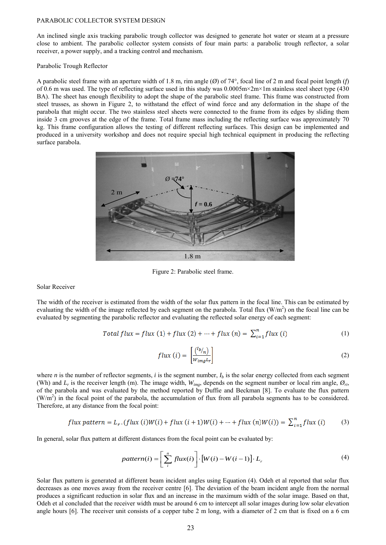#### PARABOLIC COLLECTOR SYSTEM DESIGN

An inclined single axis tracking parabolic trough collector was designed to generate hot water or steam at a pressure close to ambient. The parabolic collector system consists of four main parts: a parabolic trough reflector, a solar receiver, a power supply, and a tracking control and mechanism.

#### Parabolic Trough Reflector

A parabolic steel frame with an aperture width of 1.8 m, rim angle  $(\emptyset)$  of 74°, focal line of 2 m and focal point length (*f*) of 0.6 m was used. The type of reflecting surface used in this study was  $0.0005 \text{m} \times 2 \text{m} \times 1 \text{m}$  stainless steel sheet type (430) BA). The sheet has enough flexibility to adopt the shape of the parabolic steel frame. This frame was constructed from steel trusses, as shown in Figure 2, to withstand the effect of wind force and any deformation in the shape of the parabola that might occur. The two stainless steel sheets were connected to the frame from its edges by sliding them inside 3 cm grooves at the edge of the frame. Total frame mass including the reflecting surface was approximately 70 kg. This frame configuration allows the testing of different reflecting surfaces. This design can be implemented and produced in a university workshop and does not require special high technical equipment in producing the reflecting surface parabola.



Figure 2: Parabolic steel frame.

Solar Receiver

The width of the receiver is estimated from the width of the solar flux pattern in the focal line. This can be estimated by evaluating the width of the image reflected by each segment on the parabola. Total flux  $(W/m<sup>2</sup>)$  on the focal line can be evaluated by segmenting the parabolic reflector and evaluating the reflected solar energy of each segment:

Total flux = flux (1) + flux (2) + ... + flux (n) = 
$$
\sum_{i=1}^{n} flux(i)
$$
 (1)

$$
flux (i) = \begin{bmatrix} {^{(l_b/}}_n) \\ w_{img} {^{L_r}} \end{bmatrix}
$$
 (2)

where *n* is the number of reflector segments, *i* is the segment number,  $I_b$  is the solar energy collected from each segment (Wh) and  $L_r$  is the receiver length (m). The image width,  $W_{img}$ , depends on the segment number or local rim angle,  $\mathcal{O}_{ri}$ , of the parabola and was evaluated by the method reported by Duffie and Beckman [8]. To evaluate the flux pattern  $(W/m<sup>2</sup>)$  in the focal point of the parabola, the accumulation of flux from all parabola segments has to be considered. Therefore, at any distance from the focal point:

$$
flux pattern = L_r. (flux (i)W(i) + flux (i + 1)W(i) + \dots + flux (n)W(i)) = \sum_{i=1}^{n} flux (i)
$$
 (3)

In general, solar flux pattern at different distances from the focal point can be evaluated by:

$$
pattern(i) = \left[\sum_{i}^{n} flux(i)\right] \cdot \left[W(i) - W(i-1)\right] \cdot L_{r}
$$
\n(4)

Solar flux pattern is generated at different beam incident angles using Equation (4). Odeh et al reported that solar flux decreases as one moves away from the receiver centre [6]. The deviation of the beam incident angle from the normal produces a significant reduction in solar flux and an increase in the maximum width of the solar image. Based on that, Odeh et al concluded that the receiver width must be around 6 cm to intercept all solar images during low solar elevation angle hours [6]. The receiver unit consists of a copper tube 2 m long, with a diameter of 2 cm that is fixed on a 6 cm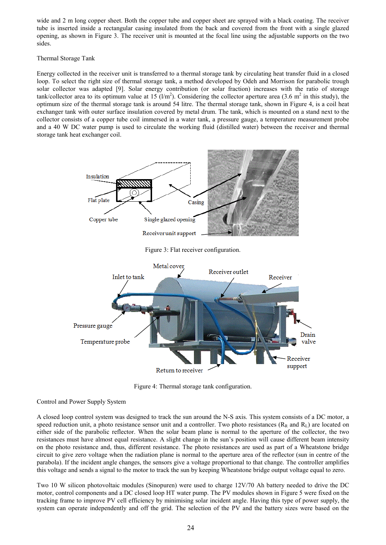wide and 2 m long copper sheet. Both the copper tube and copper sheet are sprayed with a black coating. The receiver tube is inserted inside a rectangular casing insulated from the back and covered from the front with a single glazed opening, as shown in Figure 3. The receiver unit is mounted at the focal line using the adjustable supports on the two sides.

Thermal Storage Tank

Energy collected in the receiver unit is transferred to a thermal storage tank by circulating heat transfer fluid in a closed loop. To select the right size of thermal storage tank, a method developed by Odeh and Morrison for parabolic trough solar collector was adapted [9]. Solar energy contribution (or solar fraction) increases with the ratio of storage tank/collector area to its optimum value at 15 ( $1/m<sup>2</sup>$ ). Considering the collector aperture area (3.6 m<sup>2</sup> in this study), the optimum size of the thermal storage tank is around 54 litre. The thermal storage tank, shown in Figure 4, is a coil heat exchanger tank with outer surface insulation covered by metal drum. The tank, which is mounted on a stand next to the collector consists of a copper tube coil immersed in a water tank, a pressure gauge, a temperature measurement probe and a 40 W DC water pump is used to circulate the working fluid (distilled water) between the receiver and thermal storage tank heat exchanger coil.



Drain Temperature probe valve eceiver support Return to receiver

Figure 4: Thermal storage tank configuration.

Control and Power Supply System

A closed loop control system was designed to track the sun around the N-S axis. This system consists of a DC motor, a speed reduction unit, a photo resistance sensor unit and a controller. Two photo resistances ( $R_R$  and  $R_L$ ) are located on either side of the parabolic reflector. When the solar beam plane is normal to the aperture of the collector, the two resistances must have almost equal resistance. A slight change in the sun's position will cause different beam intensity on the photo resistance and, thus, different resistance. The photo resistances are used as part of a Wheatstone bridge circuit to give zero voltage when the radiation plane is normal to the aperture area of the reflector (sun in centre of the parabola). If the incident angle changes, the sensors give a voltage proportional to that change. The controller amplifies this voltage and sends a signal to the motor to track the sun by keeping Wheatstone bridge output voltage equal to zero.

Two 10 W silicon photovoltaic modules (Sinopuren) were used to charge 12V/70 Ah battery needed to drive the DC motor, control components and a DC closed loop HT water pump. The PV modules shown in Figure 5 were fixed on the tracking frame to improve PV cell efficiency by minimising solar incident angle. Having this type of power supply, the system can operate independently and off the grid. The selection of the PV and the battery sizes were based on the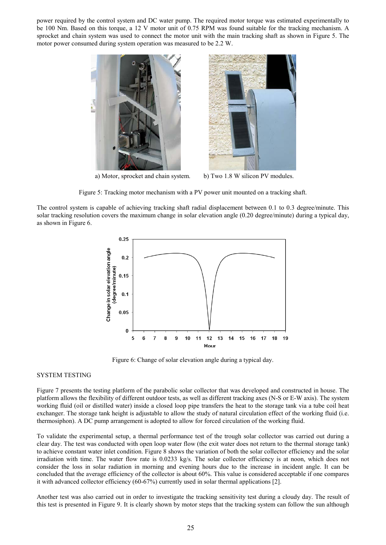power required by the control system and DC water pump. The required motor torque was estimated experimentally to be 100 Nm. Based on this torque, a 12 V motor unit of 0.75 RPM was found suitable for the tracking mechanism. A sprocket and chain system was used to connect the motor unit with the main tracking shaft as shown in Figure 5. The motor power consumed during system operation was measured to be 2.2 W.



a) Motor, sprocket and chain system. b) Two 1.8 W silicon PV modules.

Figure 5: Tracking motor mechanism with a PV power unit mounted on a tracking shaft.

The control system is capable of achieving tracking shaft radial displacement between 0.1 to 0.3 degree/minute. This solar tracking resolution covers the maximum change in solar elevation angle (0.20 degree/minute) during a typical day, as shown in Figure 6.



Figure 6: Change of solar elevation angle during a typical day.

#### SYSTEM TESTING

Figure 7 presents the testing platform of the parabolic solar collector that was developed and constructed in house. The platform allows the flexibility of different outdoor tests, as well as different tracking axes (N-S or E-W axis). The system working fluid (oil or distilled water) inside a closed loop pipe transfers the heat to the storage tank via a tube coil heat exchanger. The storage tank height is adjustable to allow the study of natural circulation effect of the working fluid (i.e. thermosiphon). A DC pump arrangement is adopted to allow for forced circulation of the working fluid.

To validate the experimental setup, a thermal performance test of the trough solar collector was carried out during a clear day. The test was conducted with open loop water flow (the exit water does not return to the thermal storage tank) to achieve constant water inlet condition. Figure 8 shows the variation of both the solar collector efficiency and the solar irradiation with time. The water flow rate is 0.0233 kg/s. The solar collector efficiency is at noon, which does not consider the loss in solar radiation in morning and evening hours due to the increase in incident angle. It can be concluded that the average efficiency of the collector is about 60%. This value is considered acceptable if one compares it with advanced collector efficiency (60-67%) currently used in solar thermal applications [2].

Another test was also carried out in order to investigate the tracking sensitivity test during a cloudy day. The result of this test is presented in Figure 9. It is clearly shown by motor steps that the tracking system can follow the sun although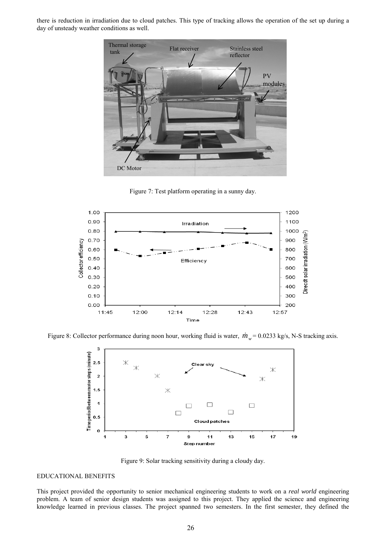there is reduction in irradiation due to cloud patches. This type of tracking allows the operation of the set up during a day of unsteady weather conditions as well.



Figure 7: Test platform operating in a sunny day.



Figure 8: Collector performance during noon hour, working fluid is water,  $\dot{m}_w = 0.0233$  kg/s, N-S tracking axis.



Figure 9: Solar tracking sensitivity during a cloudy day.

## EDUCATIONAL BENEFITS

This project provided the opportunity to senior mechanical engineering students to work on a *real world* engineering problem. A team of senior design students was assigned to this project. They applied the science and engineering knowledge learned in previous classes. The project spanned two semesters. In the first semester, they defined the